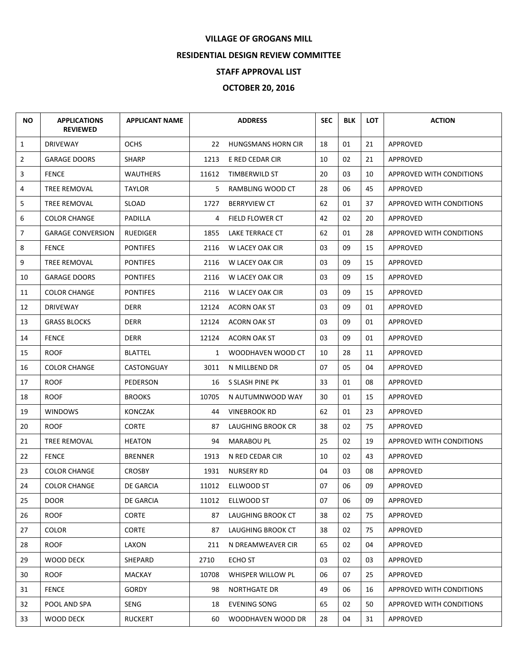## **VILLAGE OF GROGANS MILL**

## **RESIDENTIAL DESIGN REVIEW COMMITTEE**

## **STAFF APPROVAL LIST**

## **OCTOBER 20, 2016**

| <b>NO</b>      | <b>APPLICATIONS</b><br><b>REVIEWED</b> | <b>APPLICANT NAME</b> |              | <b>ADDRESS</b>            | <b>SEC</b> | <b>BLK</b> | <b>LOT</b> | <b>ACTION</b>            |
|----------------|----------------------------------------|-----------------------|--------------|---------------------------|------------|------------|------------|--------------------------|
| $\mathbf{1}$   | <b>DRIVEWAY</b>                        | <b>OCHS</b>           | 22           | <b>HUNGSMANS HORN CIR</b> | 18         | 01         | 21         | APPROVED                 |
| $\overline{2}$ | <b>GARAGE DOORS</b>                    | <b>SHARP</b>          | 1213         | E RED CEDAR CIR           | 10         | 02         | 21         | APPROVED                 |
| 3              | <b>FENCE</b>                           | <b>WAUTHERS</b>       | 11612        | TIMBERWILD ST             | 20         | 03         | 10         | APPROVED WITH CONDITIONS |
| 4              | TREE REMOVAL                           | <b>TAYLOR</b>         | 5.           | RAMBLING WOOD CT          | 28         | 06         | 45         | APPROVED                 |
| 5              | TREE REMOVAL                           | SLOAD                 | 1727         | <b>BERRYVIEW CT</b>       | 62         | 01         | 37         | APPROVED WITH CONDITIONS |
| 6              | <b>COLOR CHANGE</b>                    | PADILLA               | 4            | FIELD FLOWER CT           | 42         | 02         | 20         | APPROVED                 |
| 7              | <b>GARAGE CONVERSION</b>               | <b>RUEDIGER</b>       | 1855         | LAKE TERRACE CT           | 62         | 01         | 28         | APPROVED WITH CONDITIONS |
| 8              | <b>FENCE</b>                           | <b>PONTIFES</b>       | 2116         | W LACEY OAK CIR           | 03         | 09         | 15         | APPROVED                 |
| 9              | TREE REMOVAL                           | <b>PONTIFES</b>       | 2116         | W LACEY OAK CIR           | 03         | 09         | 15         | APPROVED                 |
| 10             | <b>GARAGE DOORS</b>                    | <b>PONTIFES</b>       | 2116         | W LACEY OAK CIR           | 03         | 09         | 15         | APPROVED                 |
| 11             | <b>COLOR CHANGE</b>                    | <b>PONTIFES</b>       | 2116         | W LACEY OAK CIR           | 03         | 09         | 15         | APPROVED                 |
| 12             | <b>DRIVEWAY</b>                        | DERR                  | 12124        | ACORN OAK ST              | 03         | 09         | 01         | APPROVED                 |
| 13             | <b>GRASS BLOCKS</b>                    | DERR                  | 12124        | ACORN OAK ST              | 03         | 09         | 01         | APPROVED                 |
| 14             | <b>FENCE</b>                           | <b>DERR</b>           | 12124        | <b>ACORN OAK ST</b>       | 03         | 09         | 01         | <b>APPROVED</b>          |
| 15             | <b>ROOF</b>                            | <b>BLATTEL</b>        | $\mathbf{1}$ | WOODHAVEN WOOD CT         | 10         | 28         | 11         | <b>APPROVED</b>          |
| 16             | <b>COLOR CHANGE</b>                    | CASTONGUAY            | 3011         | N MILLBEND DR             | 07         | 05         | 04         | APPROVED                 |
| 17             | <b>ROOF</b>                            | PEDERSON              |              | 16 S SLASH PINE PK        | 33         | 01         | 08         | APPROVED                 |
| 18             | <b>ROOF</b>                            | <b>BROOKS</b>         | 10705        | N AUTUMNWOOD WAY          | 30         | 01         | 15         | APPROVED                 |
| 19             | <b>WINDOWS</b>                         | KONCZAK               | 44           | <b>VINEBROOK RD</b>       | 62         | 01         | 23         | APPROVED                 |
| 20             | <b>ROOF</b>                            | <b>CORTE</b>          | 87           | LAUGHING BROOK CR         | 38         | 02         | 75         | APPROVED                 |
| 21             | TREE REMOVAL                           | <b>HEATON</b>         | 94           | <b>MARABOU PL</b>         | 25         | 02         | 19         | APPROVED WITH CONDITIONS |
| 22             | <b>FENCE</b>                           | <b>BRENNER</b>        | 1913         | N RED CEDAR CIR           | 10         | 02         | 43         | APPROVED                 |
| 23             | <b>COLOR CHANGE</b>                    | <b>CROSBY</b>         | 1931         | <b>NURSERY RD</b>         | 04         | 03         | 08         | APPROVED                 |
| 24             | <b>COLOR CHANGE</b>                    | DE GARCIA             | 11012        | ELLWOOD ST                | 07         | 06         | 09         | <b>APPROVED</b>          |
| 25             | <b>DOOR</b>                            | <b>DE GARCIA</b>      | 11012        | ELLWOOD ST                | 07         | 06         | 09         | APPROVED                 |
| 26             | <b>ROOF</b>                            | <b>CORTE</b>          | 87           | LAUGHING BROOK CT         | 38         | 02         | 75         | APPROVED                 |
| 27             | <b>COLOR</b>                           | <b>CORTE</b>          | 87           | LAUGHING BROOK CT         | 38         | 02         | 75         | APPROVED                 |
| 28             | <b>ROOF</b>                            | LAXON                 | 211          | N DREAMWEAVER CIR         | 65         | 02         | 04         | <b>APPROVED</b>          |
| 29             | <b>WOOD DECK</b>                       | SHEPARD               | 2710         | ECHO ST                   | 03         | 02         | 03         | APPROVED                 |
| 30             | <b>ROOF</b>                            | MACKAY                | 10708        | WHISPER WILLOW PL         | 06         | 07         | 25         | APPROVED                 |
| 31             | <b>FENCE</b>                           | <b>GORDY</b>          | 98           | <b>NORTHGATE DR</b>       | 49         | 06         | 16         | APPROVED WITH CONDITIONS |
| 32             | POOL AND SPA                           | SENG                  | 18           | <b>EVENING SONG</b>       | 65         | 02         | 50         | APPROVED WITH CONDITIONS |
| 33             | <b>WOOD DECK</b>                       | <b>RUCKERT</b>        | 60           | WOODHAVEN WOOD DR         | 28         | 04         | 31         | APPROVED                 |